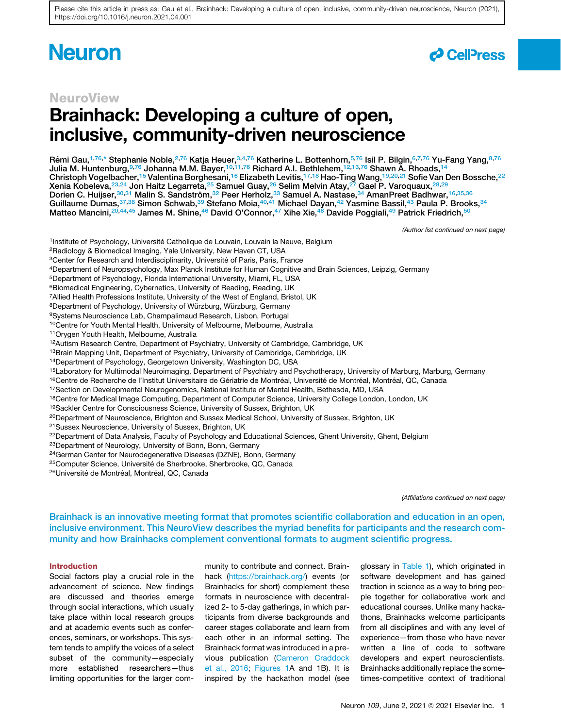# **Neuron**



### NeuroView

# Brainhack: Developing a culture of open, inclusive, community-driven neuroscience

Rémi Gau,<sup>1,76,\*</sup> Stephanie Noble,<sup>2,76</sup> Katja Heuer,<sup>3,4,76</sup> Katherine L. Bottenhorn,<sup>5,76</sup> Isil P. Bilgin,<sup>6,7,76</sup> Yu-Fang Yang,<sup>8,76</sup> Julia M. Huntenburg,9,76 Johanna M.M. Bayer,10,11,76 Richard A.I. Bethlehem,12,13,76 Shawn A. Rhoads,<sup>14</sup> Christoph Vogelbacher,<sup>15</sup> Valentina Borghesani,<sup>16</sup> Elizabeth Levitis,<sup>17,18</sup> Hao-Ting Wang,<sup>19,20,21</sup> Sofie Van Den Bossche,<sup>22</sup> Xenia Kobeleva, $^{23,24}$  Jon Haitz Legarreta, $^{25}$  Samuel Guay, $^{26}$  Selim Melvin Atay, $^{27}$  Gael P. Varoquaux, $^{28,29}$ Dorien C. Huijser,<sup>30,31</sup> Malin S. Sandström,<sup>32</sup> Peer Herholz,<sup>33</sup> Samuel A. Nastase,<sup>34</sup> AmanPreet Badhwar,<sup>16,35,36</sup> Guillaume Dumas,<sup>37,38</sup> Simon Schwab,<sup>39</sup> Stefano Moia,<sup>40,41</sup> Michael Dayan,<sup>42</sup> Yasmine Bassil,<sup>43</sup> Paula P. Brooks,<sup>34</sup> Matteo Mancini,<sup>20,44,45</sup> James M. Shine,<sup>46</sup> David O'Connor,<sup>47</sup> Xihe Xie,<sup>48</sup> Davide Poggiali,<sup>49</sup> Patrick Friedrich,<sup>50</sup>

*(Author list continued on next page)*

- <sup>1</sup>Institute of Psychology, Université Catholique de Louvain, Louvain la Neuve, Belgium
- 2Radiology & Biomedical Imaging, Yale University, New Haven CT, USA
- <sup>3</sup>Center for Research and Interdisciplinarity, Université of Paris, Paris, France
- 4Department of Neuropsychology, Max Planck Institute for Human Cognitive and Brain Sciences, Leipzig, Germany
- 5Department of Psychology, Florida International University, Miami, FL, USA
- <sup>6</sup>Biomedical Engineering, Cybernetics, University of Reading, Reading, UK
- 7Allied Health Professions Institute, University of the West of England, Bristol, UK
- 8Department of Psychology, University of Würzburg, Würzburg, Germany
- 9Systems Neuroscience Lab, Champalimaud Research, Lisbon, Portugal
- <sup>10</sup>Centre for Youth Mental Health, University of Melbourne, Melbourne, Australia
- 11Orygen Youth Health, Melbourne, Australia
- 12Autism Research Centre, Department of Psychiatry, University of Cambridge, Cambridge, UK
- <sup>13</sup>Brain Mapping Unit, Department of Psychiatry, University of Cambridge, Cambridge, UK
- 14Department of Psychology, Georgetown University, Washington DC, USA
- <sup>15</sup>Laboratory for Multimodal Neuroimaging, Department of Psychiatry and Psychotherapy, University of Marburg, Marburg, Germany
- 16Centre de Recherche de l'Institut Universitaire de Gériatrie de Montréal, Université de Montréal, Montréal, QC, Canada
- <sup>17</sup>Section on Developmental Neurogenomics, National Institute of Mental Health, Bethesda, MD, USA
- 18Centre for Medical Image Computing, Department of Computer Science, University College London, London, UK
- 19Sackler Centre for Consciousness Science, University of Sussex, Brighton, UK
- <sup>20</sup>Department of Neuroscience, Brighton and Sussex Medical School, University of Sussex, Brighton, UK
- 21Sussex Neuroscience, University of Sussex, Brighton, UK
- <sup>22</sup>Department of Data Analysis, Faculty of Psychology and Educational Sciences, Ghent University, Ghent, Belgium
- 23Department of Neurology, University of Bonn, Bonn, Germany
- 24German Center for Neurodegenerative Diseases (DZNE), Bonn, Germany
- <sup>25</sup>Computer Science, Université de Sherbrooke, Sherbrooke, QC, Canada
- <sup>26</sup>Université de Montréal, Montréal, QC, Canada

*(Affiliations continued on next page)*

Brainhack is an innovative meeting format that promotes scientific collaboration and education in an open, inclusive environment. This NeuroView describes the myriad benefits for participants and the research community and how Brainhacks complement conventional formats to augment scientific progress.

#### Introduction

Social factors play a crucial role in the advancement of science. New findings are discussed and theories emerge through social interactions, which usually take place within local research groups and at academic events such as conferences, seminars, or workshops. This system tends to amplify the voices of a select subset of the community—especially more established researchers—thus limiting opportunities for the larger community to contribute and connect. Brainhack [\(https://brainhack.org/](https://brainhack.org/)) events (or Brainhacks for short) complement these formats in neuroscience with decentralized 2- to 5-day gatherings, in which participants from diverse backgrounds and career stages collaborate and learn from each other in an informal setting. The Brainhack format was introduced in a previous publication [\(Cameron Craddock](#page-6-0) [et al., 2016](#page-6-0); [Figures 1](#page-2-0)A and 1B). It is inspired by the hackathon model (see

glossary in [Table 1\)](#page-3-0), which originated in software development and has gained traction in science as a way to bring people together for collaborative work and educational courses. Unlike many hackathons, Brainhacks welcome participants from all disciplines and with any level of experience—from those who have never written a line of code to software developers and expert neuroscientists. Brainhacks additionally replace the sometimes-competitive context of traditional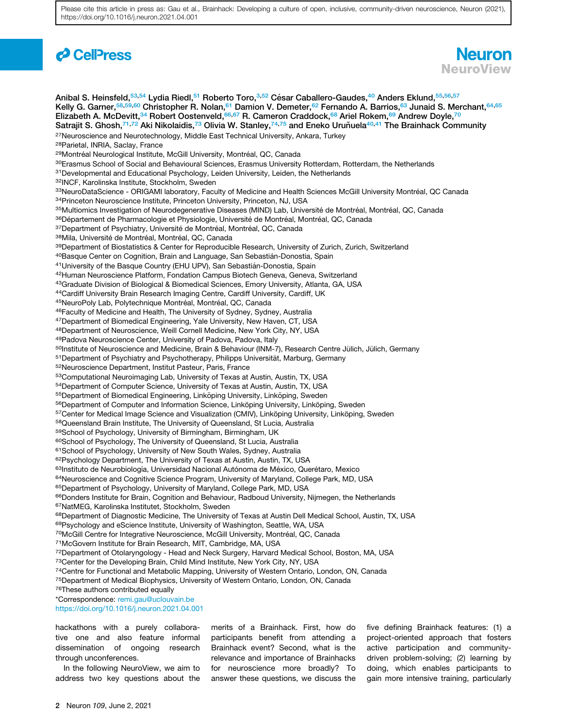## *d* CellPress



Anibal S. Heinsfeld,<sup>53,54</sup> Lydia Riedl,<sup>51</sup> Roberto Toro,<sup>3,52</sup> César Caballero-Gaudes,<sup>40</sup> Anders Eklund,<sup>55,56,57</sup> Kelly G. Garner,<sup>58,59,60</sup> Christopher R. Nolan,<sup>61</sup> Damion V. Demeter,<sup>62</sup> Fernando A. Barrios,<sup>63</sup> Junaid S. Merchant,<sup>64,65</sup> Elizabeth A. McDevitt,<sup>34</sup> Robert Oostenveld,<sup>66,67</sup> R. Cameron Craddock,<sup>68</sup> Ariel Rokem,<sup>69</sup> Andrew Doyle,<sup>70</sup> Satrajit S. Ghosh,<sup>71,72</sup> Aki Nikolaidis,<sup>73</sup> Olivia W. Stanley,<sup>74,75</sup> and Eneko Uruñuela<sup>40,41</sup> The Brainhack Community <sup>27</sup>Neuroscience and Neurotechnology, Middle East Technical University, Ankara, Turkey 28Parietal, INRIA, Saclay, France <sup>29</sup>Montréal Neurological Institute, McGill University, Montréal, QC, Canada <sup>30</sup>Erasmus School of Social and Behavioural Sciences, Erasmus University Rotterdam, Rotterdam, the Netherlands 31Developmental and Educational Psychology, Leiden University, Leiden, the Netherlands 32INCF, Karolinska Institute, Stockholm, Sweden 33NeuroDataScience - ORIGAMI laboratory, Faculty of Medicine and Health Sciences McGill University Montréal, QC Canada 34Princeton Neuroscience Institute, Princeton University, Princeton, NJ, USA <sup>35</sup>Multiomics Investigation of Neurodegenerative Diseases (MIND) Lab, Université de Montréal, Montréal, QC, Canada 36 Département de Pharmacologie et Physiologie, Université de Montréal, Montréal, QC, Canada <sup>37</sup>Department of Psychiatry, Université de Montréal, Montréal, QC, Canada 38Mila, Université de Montréal, Montréal, QC, Canada <sup>39</sup>Department of Biostatistics & Center for Reproducible Research, University of Zurich, Zurich, Switzerland <sup>40</sup>Basque Center on Cognition, Brain and Language, San Sebastián-Donostia, Spain <sup>41</sup>University of the Basque Country (EHU UPV), San Sebastián-Donostia, Spain 42Human Neuroscience Platform, Fondation Campus Biotech Geneva, Geneva, Switzerland 43 Graduate Division of Biological & Biomedical Sciences, Emory University, Atlanta, GA, USA 44Cardiff University Brain Research Imaging Centre, Cardiff University, Cardiff, UK 45NeuroPoly Lab, Polytechnique Montréal, Montréal, QC, Canada 46Faculty of Medicine and Health, The University of Sydney, Sydney, Australia 47Department of Biomedical Engineering, Yale University, New Haven, CT, USA 48Department of Neuroscience, Weill Cornell Medicine, New York City, NY, USA 49Padova Neuroscience Center, University of Padova, Padova, Italy 50Institute of Neuroscience and Medicine, Brain & Behaviour (INM-7), Research Centre Jülich, Jülich, Germany 51Department of Psychiatry and Psychotherapy, Philipps Universität, Marburg, Germany 52Neuroscience Department, Institut Pasteur, Paris, France 53Computational Neuroimaging Lab, University of Texas at Austin, Austin, TX, USA 54Department of Computer Science, University of Texas at Austin, Austin, TX, USA <sup>55</sup>Department of Biomedical Engineering, Linköping University, Linköping, Sweden 56Department of Computer and Information Science, Linköping University, Linköping, Sweden 57Center for Medical Image Science and Visualization (CMIV), Linköping University, Linköping, Sweden 58Queensland Brain Institute, The University of Queensland, St Lucia, Australia 59School of Psychology, University of Birmingham, Birmingham, UK 60School of Psychology, The University of Queensland, St Lucia, Australia <sup>61</sup>School of Psychology, University of New South Wales, Sydney, Australia 62Psychology Department, The University of Texas at Austin, Austin, TX, USA 63Instituto de Neurobiología, Universidad Nacional Autónoma de México, Querétaro, Mexico 64Neuroscience and Cognitive Science Program, University of Maryland, College Park, MD, USA 65Department of Psychology, University of Maryland, College Park, MD, USA 66Donders Institute for Brain, Cognition and Behaviour, Radboud University, Nijmegen, the Netherlands 67NatMEG, Karolinska Institutet, Stockholm, Sweden 68Department of Diagnostic Medicine, The University of Texas at Austin Dell Medical School, Austin, TX, USA 69Psychology and eScience Institute, University of Washington, Seattle, WA, USA <sup>70</sup>McGill Centre for Integrative Neuroscience, McGill University, Montréal, QC, Canada 71McGovern Institute for Brain Research, MIT, Cambridge, MA, USA <sup>72</sup>Department of Otolaryngology - Head and Neck Surgery, Harvard Medical School, Boston, MA, USA 73 Center for the Developing Brain, Child Mind Institute, New York City, NY, USA <sup>74</sup>Centre for Functional and Metabolic Mapping, University of Western Ontario, London, ON, Canada 75Department of Medical Biophysics, University of Western Ontario, London, ON, Canada <sup>76</sup>These authors contributed equally \*Correspondence: [remi.gau@uclouvain.be](mailto:remi.gau@uclouvain.be) <https://doi.org/10.1016/j.neuron.2021.04.001>

hackathons with a purely collaborative one and also feature informal dissemination of ongoing research through unconferences.

In the following NeuroView, we aim to address two key questions about the

merits of a Brainhack. First, how do participants benefit from attending a Brainhack event? Second, what is the relevance and importance of Brainhacks for neuroscience more broadly? To answer these questions, we discuss the

five defining Brainhack features: (1) a project-oriented approach that fosters active participation and communitydriven problem-solving; (2) learning by doing, which enables participants to gain more intensive training, particularly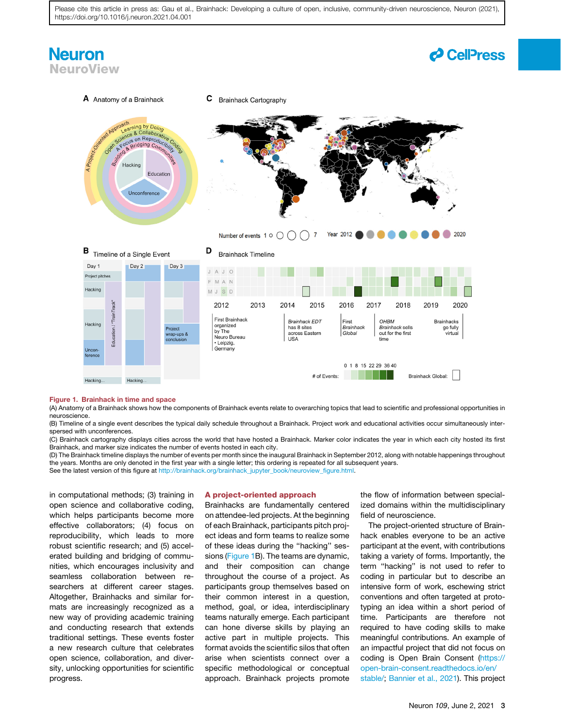### **Neuron NeuroView**

### *d* CellPress

<span id="page-2-0"></span>

#### Figure 1. Brainhack in time and space

(A) Anatomy of a Brainhack shows how the components of Brainhack events relate to overarching topics that lead to scientific and professional opportunities in neuroscience.

(B) Timeline of a single event describes the typical daily schedule throughout a Brainhack. Project work and educational activities occur simultaneously interspersed with unconferences.

(C) Brainhack cartography displays cities across the world that have hosted a Brainhack. Marker color indicates the year in which each city hosted its first Brainhack, and marker size indicates the number of events hosted in each city.

(D) The Brainhack timeline displays the number of events per month since the inaugural Brainhack in September 2012, along with notable happenings throughout the years. Months are only denoted in the first year with a single letter; this ordering is repeated for all subsequent years.

See the latest version of this figure at [http://brainhack.org/brainhack\\_jupyter\\_book/neuroview\\_figure.html.](http://brainhack.org/brainhack_jupyter_book/neuroview_figure.html)

in computational methods; (3) training in open science and collaborative coding, which helps participants become more effective collaborators; (4) focus on reproducibility, which leads to more robust scientific research; and (5) accelerated building and bridging of communities, which encourages inclusivity and seamless collaboration between researchers at different career stages. Altogether, Brainhacks and similar formats are increasingly recognized as a new way of providing academic training and conducting research that extends traditional settings. These events foster a new research culture that celebrates open science, collaboration, and diversity, unlocking opportunities for scientific progress.

#### A project-oriented approach

Brainhacks are fundamentally centered on attendee-led projects. At the beginning of each Brainhack, participants pitch project ideas and form teams to realize some of these ideas during the ''hacking'' sessions [\(Figure 1](#page-2-0)B). The teams are dynamic, and their composition can change throughout the course of a project. As participants group themselves based on their common interest in a question, method, goal, or idea, interdisciplinary teams naturally emerge. Each participant can hone diverse skills by playing an active part in multiple projects. This format avoids the scientific silos that often arise when scientists connect over a specific methodological or conceptual approach. Brainhack projects promote

the flow of information between specialized domains within the multidisciplinary field of neuroscience.

The project-oriented structure of Brainhack enables everyone to be an active participant at the event, with contributions taking a variety of forms. Importantly, the term ''hacking'' is not used to refer to coding in particular but to describe an intensive form of work, eschewing strict conventions and often targeted at prototyping an idea within a short period of time. Participants are therefore not required to have coding skills to make meaningful contributions. An example of an impactful project that did not focus on coding is Open Brain Consent [\(https://](https://open-brain-consent.readthedocs.io/en/stable/) [open-brain-consent.readthedocs.io/en/](https://open-brain-consent.readthedocs.io/en/stable/) [stable/](https://open-brain-consent.readthedocs.io/en/stable/); [Bannier et al., 2021\)](#page-6-1). This project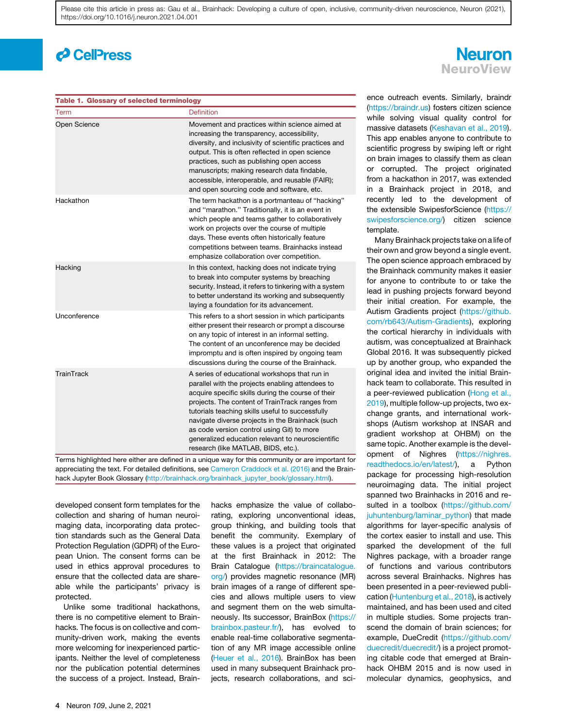### *d* CellPress

#### <span id="page-3-0"></span>Table 1. Glossary of selected terminology

| Term         | Definition                                                                                                                                                                                                                                                                                                                                                                                                                                                   |
|--------------|--------------------------------------------------------------------------------------------------------------------------------------------------------------------------------------------------------------------------------------------------------------------------------------------------------------------------------------------------------------------------------------------------------------------------------------------------------------|
| Open Science | Movement and practices within science aimed at<br>increasing the transparency, accessibility,<br>diversity, and inclusivity of scientific practices and<br>output. This is often reflected in open science<br>practices, such as publishing open access<br>manuscripts; making research data findable,<br>accessible, interoperable, and reusable (FAIR);<br>and open sourcing code and software, etc.                                                       |
| Hackathon    | The term hackathon is a portmanteau of "hacking"<br>and "marathon." Traditionally, it is an event in<br>which people and teams gather to collaboratively<br>work on projects over the course of multiple<br>days. These events often historically feature<br>competitions between teams. Brainhacks instead<br>emphasize collaboration over competition.                                                                                                     |
| Hacking      | In this context, hacking does not indicate trying<br>to break into computer systems by breaching<br>security. Instead, it refers to tinkering with a system<br>to better understand its working and subsequently<br>laying a foundation for its advancement.                                                                                                                                                                                                 |
| Unconference | This refers to a short session in which participants<br>either present their research or prompt a discourse<br>on any topic of interest in an informal setting.<br>The content of an unconference may be decided<br>impromptu and is often inspired by ongoing team<br>discussions during the course of the Brainhack.                                                                                                                                       |
| TrainTrack   | A series of educational workshops that run in<br>parallel with the projects enabling attendees to<br>acquire specific skills during the course of their<br>projects. The content of TrainTrack ranges from<br>tutorials teaching skills useful to successfully<br>navigate diverse projects in the Brainhack (such<br>as code version control using Git) to more<br>generalized education relevant to neuroscientific<br>research (like MATLAB, BIDS, etc.). |

Terms highlighted here either are defined in a unique way for this community or are important for appreciating the text. For detailed definitions, see [Cameron Craddock et al. \(2016\)](#page-6-0) and the Brainhack Jupyter Book Glossary [\(http://brainhack.org/brainhack\\_jupyter\\_book/glossary.html](http://brainhack.org/brainhack_jupyter_book/glossary.html)).

developed consent form templates for the collection and sharing of human neuroimaging data, incorporating data protection standards such as the General Data Protection Regulation (GDPR) of the European Union. The consent forms can be used in ethics approval procedures to ensure that the collected data are shareable while the participants' privacy is protected.

Unlike some traditional hackathons, there is no competitive element to Brainhacks. The focus is on collective and community-driven work, making the events more welcoming for inexperienced participants. Neither the level of completeness nor the publication potential determines the success of a project. Instead, Brainhacks emphasize the value of collaborating, exploring unconventional ideas, group thinking, and building tools that benefit the community. Exemplary of these values is a project that originated at the first Brainhack in 2012: The Brain Catalogue [\(https://braincatalogue.](https://braincatalogue.org/) [org/](https://braincatalogue.org/)) provides magnetic resonance (MR) brain images of a range of different species and allows multiple users to view and segment them on the web simultaneously. Its successor, BrainBox ([https://](https://brainbox.pasteur.fr/) [brainbox.pasteur.fr/](https://brainbox.pasteur.fr/)), has evolved to enable real-time collaborative segmentation of any MR image accessible online [\(Heuer et al., 2016](#page-6-2)). BrainBox has been used in many subsequent Brainhack projects, research collaborations, and sci-

### **Neuron NeuroView**

ence outreach events. Similarly, braindr ([https://braindr.us\)](https://braindr.us) fosters citizen science while solving visual quality control for massive datasets [\(Keshavan et al., 2019](#page-6-3)). This app enables anyone to contribute to scientific progress by swiping left or right on brain images to classify them as clean or corrupted. The project originated from a hackathon in 2017, was extended in a Brainhack project in 2018, and recently led to the development of the extensible SwipesforScience [\(https://](https://swipesforscience.org/) [swipesforscience.org/](https://swipesforscience.org/)) citizen science template.

Many Brainhack projects take on a life of their own and grow beyond a single event. The open science approach embraced by the Brainhack community makes it easier for anyone to contribute to or take the lead in pushing projects forward beyond their initial creation. For example, the Autism Gradients project ([https://github.](https://github.com/rb643/Autism-Gradients) [com/rb643/Autism-Gradients\)](https://github.com/rb643/Autism-Gradients), exploring the cortical hierarchy in individuals with autism, was conceptualized at Brainhack Global 2016. It was subsequently picked up by another group, who expanded the original idea and invited the initial Brainhack team to collaborate. This resulted in a peer-reviewed publication ([Hong et al.,](#page-6-4) [2019](#page-6-4)), multiple follow-up projects, two exchange grants, and international workshops (Autism workshop at INSAR and gradient workshop at OHBM) on the same topic. Another example is the development of Nighres ([https://nighres.](https://nighres.readthedocs.io/en/latest/) [readthedocs.io/en/latest/\)](https://nighres.readthedocs.io/en/latest/), a Python package for processing high-resolution neuroimaging data. The initial project spanned two Brainhacks in 2016 and resulted in a toolbox [\(https://github.com/](https://github.com/juhuntenburg/laminar_python) [juhuntenburg/laminar\\_python](https://github.com/juhuntenburg/laminar_python)) that made algorithms for layer-specific analysis of the cortex easier to install and use. This sparked the development of the full Nighres package, with a broader range of functions and various contributors across several Brainhacks. Nighres has been presented in a peer-reviewed publication [\(Huntenburg et al., 2018\)](#page-6-5), is actively maintained, and has been used and cited in multiple studies. Some projects transcend the domain of brain sciences; for example, DueCredit [\(https://github.com/](https://github.com/duecredit/duecredit/) [duecredit/duecredit/\)](https://github.com/duecredit/duecredit/) is a project promoting citable code that emerged at Brainhack OHBM 2015 and is now used in molecular dynamics, geophysics, and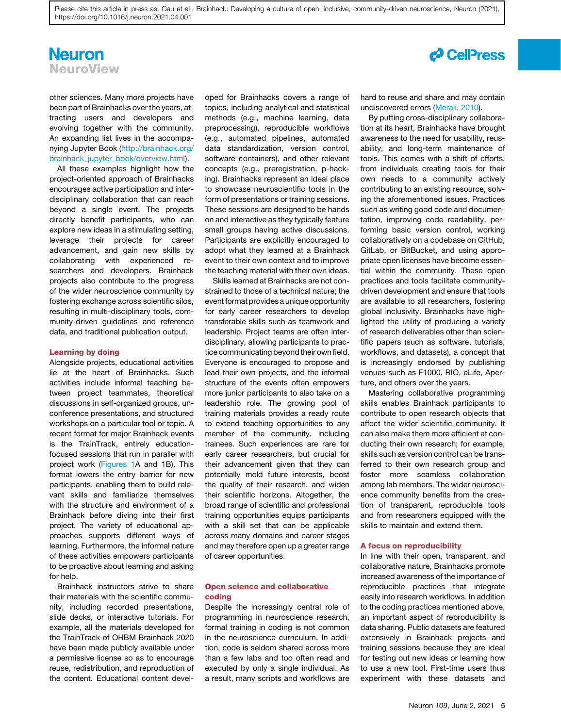### **Neuron NeuroView**

other sciences. Many more projects have been part of Brainhacks over the years, attracting users and developers and evolving together with the community. An expanding list lives in the accompanying Jupyter Book ([http://brainhack.org/](http://brainhack.org/brainhack_jupyter_book/overview.html) [brainhack\\_jupyter\\_book/overview.html](http://brainhack.org/brainhack_jupyter_book/overview.html)).

All these examples highlight how the project-oriented approach of Brainhacks encourages active participation and interdisciplinary collaboration that can reach beyond a single event. The projects directly benefit participants, who can explore new ideas in a stimulating setting, leverage their projects for career advancement, and gain new skills by collaborating with experienced researchers and developers. Brainhack projects also contribute to the progress of the wider neuroscience community by fostering exchange across scientific silos, resulting in multi-disciplinary tools, community-driven guidelines and reference data, and traditional publication output.

#### Learning by doing

Alongside projects, educational activities lie at the heart of Brainhacks. Such activities include informal teaching between project teammates, theoretical discussions in self-organized groups, unconference presentations, and structured workshops on a particular tool or topic. A recent format for major Brainhack events is the TrainTrack, entirely educationfocused sessions that run in parallel with project work ([Figures 1](#page-2-0)A and 1B). This format lowers the entry barrier for new participants, enabling them to build relevant skills and familiarize themselves with the structure and environment of a Brainhack before diving into their first project. The variety of educational approaches supports different ways of learning. Furthermore, the informal nature of these activities empowers participants to be proactive about learning and asking for help.

Brainhack instructors strive to share their materials with the scientific community, including recorded presentations, slide decks, or interactive tutorials. For example, all the materials developed for the TrainTrack of OHBM Brainhack 2020 have been made publicly available under a permissive license so as to encourage reuse, redistribution, and reproduction of the content. Educational content developed for Brainhacks covers a range of topics, including analytical and statistical methods (e.g., machine learning, data preprocessing), reproducible workflows (e.g., automated pipelines, automated data standardization, version control, software containers), and other relevant concepts (e.g., preregistration, p-hacking). Brainhacks represent an ideal place to showcase neuroscientific tools in the form of presentations or training sessions. These sessions are designed to be hands on and interactive as they typically feature small groups having active discussions. Participants are explicitly encouraged to adopt what they learned at a Brainhack event to their own context and to improve the teaching material with their own ideas.

Skills learned at Brainhacks are not constrained to those of a technical nature; the event format provides a unique opportunity for early career researchers to develop transferable skills such as teamwork and leadership. Project teams are often interdisciplinary, allowing participants to practice communicating beyond their own field. Everyone is encouraged to propose and lead their own projects, and the informal structure of the events often empowers more junior participants to also take on a leadership role. The growing pool of training materials provides a ready route to extend teaching opportunities to any member of the community, including trainees. Such experiences are rare for early career researchers, but crucial for their advancement given that they can potentially mold future interests, boost the quality of their research, and widen their scientific horizons. Altogether, the broad range of scientific and professional training opportunities equips participants with a skill set that can be applicable across many domains and career stages and may therefore open up a greater range of career opportunities.

#### Open science and collaborative coding

Despite the increasingly central role of programming in neuroscience research, formal training in coding is not common in the neuroscience curriculum. In addition, code is seldom shared across more than a few labs and too often read and executed by only a single individual. As a result, many scripts and workflows are

hard to reuse and share and may contain undiscovered errors [\(Merali, 2010\)](#page-6-6).

By putting cross-disciplinary collaboration at its heart, Brainhacks have brought awareness to the need for usability, reusability, and long-term maintenance of tools. This comes with a shift of efforts, from individuals creating tools for their own needs to a community actively contributing to an existing resource, solving the aforementioned issues. Practices such as writing good code and documentation, improving code readability, performing basic version control, working collaboratively on a codebase on GitHub, GitLab, or BitBucket, and using appropriate open licenses have become essential within the community. These open practices and tools facilitate communitydriven development and ensure that tools are available to all researchers, fostering global inclusivity. Brainhacks have highlighted the utility of producing a variety of research deliverables other than scientific papers (such as software, tutorials, workflows, and datasets), a concept that is increasingly endorsed by publishing venues such as F1000, RIO, eLife, Aperture, and others over the years.

Mastering collaborative programming skills enables Brainhack participants to contribute to open research objects that affect the wider scientific community. It can also make them more efficient at conducting their own research; for example, skills such as version control can be transferred to their own research group and foster more seamless collaboration among lab members. The wider neuroscience community benefits from the creation of transparent, reproducible tools and from researchers equipped with the skills to maintain and extend them.

#### A focus on reproducibility

In line with their open, transparent, and collaborative nature, Brainhacks promote increased awareness of the importance of reproducible practices that integrate easily into research workflows. In addition to the coding practices mentioned above, an important aspect of reproducibility is data sharing. Public datasets are featured extensively in Brainhack projects and training sessions because they are ideal for testing out new ideas or learning how to use a new tool. First-time users thus experiment with these datasets and

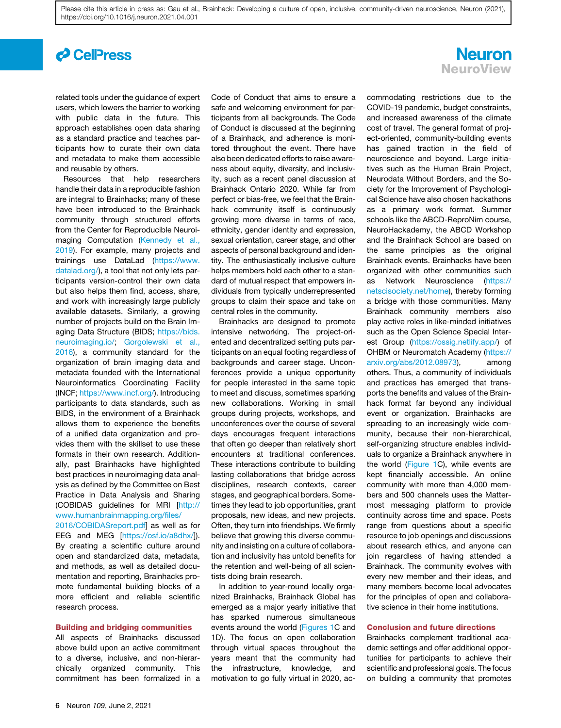### *d* Cell<sup>p</sup>ress

related tools under the guidance of expert users, which lowers the barrier to working with public data in the future. This approach establishes open data sharing as a standard practice and teaches participants how to curate their own data and metadata to make them accessible and reusable by others.

Resources that help researchers handle their data in a reproducible fashion are integral to Brainhacks; many of these have been introduced to the Brainhack community through structured efforts from the Center for Reproducible Neuroimaging Computation [\(Kennedy et al.,](#page-6-7) [2019](#page-6-7)). For example, many projects and trainings use DataLad [\(https://www.](https://www.datalad.org/) [datalad.org/\)](https://www.datalad.org/), a tool that not only lets participants version-control their own data but also helps them find, access, share, and work with increasingly large publicly available datasets. Similarly, a growing number of projects build on the Brain Imaging Data Structure (BIDS; [https://bids.](https://bids.neuroimaging.io/) [neuroimaging.io/](https://bids.neuroimaging.io/); [Gorgolewski et al.,](#page-6-8) [2016](#page-6-8)), a community standard for the organization of brain imaging data and metadata founded with the International Neuroinformatics Coordinating Facility (INCF; [https://www.incf.org/\)](https://www.incf.org/). Introducing participants to data standards, such as BIDS, in the environment of a Brainhack allows them to experience the benefits of a unified data organization and provides them with the skillset to use these formats in their own research. Additionally, past Brainhacks have highlighted best practices in neuroimaging data analysis as defined by the Committee on Best Practice in Data Analysis and Sharing (COBIDAS guidelines for MRI [\[http://](http://www.humanbrainmapping.org/files/2016/COBIDASreport.pdf) [www.humanbrainmapping.org/files/](http://www.humanbrainmapping.org/files/2016/COBIDASreport.pdf)

[2016/COBIDASreport.pdf](http://www.humanbrainmapping.org/files/2016/COBIDASreport.pdf)] as well as for EEG and MEG [\[https://osf.io/a8dhx/](https://osf.io/a8dhx/)]). By creating a scientific culture around open and standardized data, metadata, and methods, as well as detailed documentation and reporting, Brainhacks promote fundamental building blocks of a more efficient and reliable scientific research process.

#### Building and bridging communities

All aspects of Brainhacks discussed above build upon an active commitment to a diverse, inclusive, and non-hierarchically organized community. This commitment has been formalized in a Code of Conduct that aims to ensure a safe and welcoming environment for participants from all backgrounds. The Code of Conduct is discussed at the beginning of a Brainhack, and adherence is monitored throughout the event. There have also been dedicated efforts to raise awareness about equity, diversity, and inclusivity, such as a recent panel discussion at Brainhack Ontario 2020. While far from perfect or bias-free, we feel that the Brainhack community itself is continuously growing more diverse in terms of race, ethnicity, gender identity and expression, sexual orientation, career stage, and other aspects of personal background and identity. The enthusiastically inclusive culture helps members hold each other to a standard of mutual respect that empowers individuals from typically underrepresented groups to claim their space and take on central roles in the community.

Brainhacks are designed to promote intensive networking. The project-oriented and decentralized setting puts participants on an equal footing regardless of backgrounds and career stage. Unconferences provide a unique opportunity for people interested in the same topic to meet and discuss, sometimes sparking new collaborations. Working in small groups during projects, workshops, and unconferences over the course of several days encourages frequent interactions that often go deeper than relatively short encounters at traditional conferences. These interactions contribute to building lasting collaborations that bridge across disciplines, research contexts, career stages, and geographical borders. Sometimes they lead to job opportunities, grant proposals, new ideas, and new projects. Often, they turn into friendships. We firmly believe that growing this diverse community and insisting on a culture of collaboration and inclusivity has untold benefits for the retention and well-being of all scientists doing brain research.

In addition to year-round locally organized Brainhacks, Brainhack Global has emerged as a major yearly initiative that has sparked numerous simultaneous events around the world [\(Figures 1C](#page-2-0) and 1D). The focus on open collaboration through virtual spaces throughout the years meant that the community had the infrastructure, knowledge, and motivation to go fully virtual in 2020, ac-



commodating restrictions due to the COVID-19 pandemic, budget constraints, and increased awareness of the climate cost of travel. The general format of project-oriented, community-building events has gained traction in the field of neuroscience and beyond. Large initiatives such as the Human Brain Project, Neurodata Without Borders, and the Society for the Improvement of Psychological Science have also chosen hackathons as a primary work format. Summer schools like the ABCD-ReproNim course, NeuroHackademy, the ABCD Workshop and the Brainhack School are based on the same principles as the original Brainhack events. Brainhacks have been organized with other communities such as Network Neuroscience ([https://](https://netscisociety.net/home) [netscisociety.net/home\)](https://netscisociety.net/home), thereby forming a bridge with those communities. Many Brainhack community members also play active roles in like-minded initiatives such as the Open Science Special Interest Group [\(https://ossig.netlify.app/\)](https://ossig.netlify.app/) of OHBM or Neuromatch Academy ([https://](https://arxiv.org/abs/2012.08973) [arxiv.org/abs/2012.08973](https://arxiv.org/abs/2012.08973)), among others. Thus, a community of individuals and practices has emerged that transports the benefits and values of the Brainhack format far beyond any individual event or organization. Brainhacks are spreading to an increasingly wide community, because their non-hierarchical, self-organizing structure enables individuals to organize a Brainhack anywhere in the world ([Figure 1](#page-2-0)C), while events are kept financially accessible. An online community with more than 4,000 members and 500 channels uses the Mattermost messaging platform to provide continuity across time and space. Posts range from questions about a specific resource to job openings and discussions about research ethics, and anyone can join regardless of having attended a Brainhack. The community evolves with every new member and their ideas, and many members become local advocates for the principles of open and collaborative science in their home institutions.

#### Conclusion and future directions

Brainhacks complement traditional academic settings and offer additional opportunities for participants to achieve their scientific and professional goals. The focus on building a community that promotes